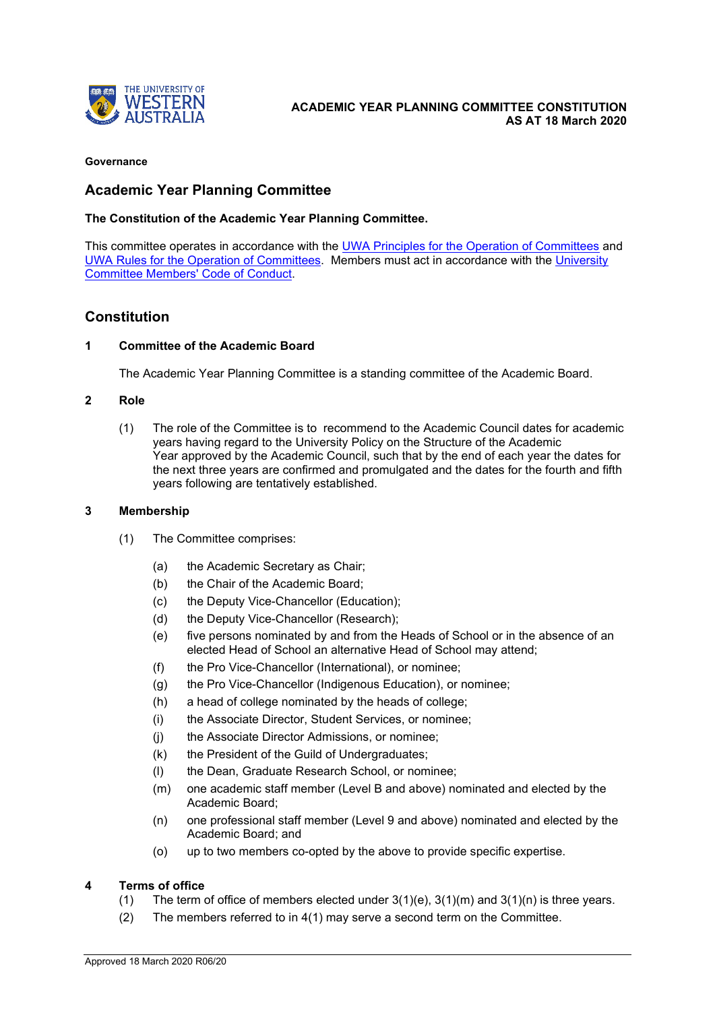

#### **Governance**

# **Academic Year Planning Committee**

### **The Constitution of the Academic Year Planning Committee.**

This committee operates in accordance with the **UWA Principles for the Operation of Committees and** [UWA Rules for the Operation of Committees.](http://www.governance.uwa.edu.au/committees/principles/rules) Members must act in accordance with the [University](http://www.governance.uwa.edu.au/committees/principles/code-of-conduct)  [Committee Members' Code of Conduct.](http://www.governance.uwa.edu.au/committees/principles/code-of-conduct)

# **Constitution**

#### **1 Committee of the Academic Board**

The Academic Year Planning Committee is a standing committee of the [Academic Board.](https://www.governance.uwa.edu.au/committees/academic-board)

#### **2 Role**

(1) The role of the Committee is to recommend to the Academic Council dates for academic years having regard to the [University Policy on the Structure of the Academic](https://www.uwa.edu.au/policy/-/media/Policy/Policy/Academic-Management/Structure-of-the-Academic-Year/Structure-of-the-Academic-Year-Policy.rtf)  [Year](https://www.uwa.edu.au/policy/-/media/Policy/Policy/Academic-Management/Structure-of-the-Academic-Year/Structure-of-the-Academic-Year-Policy.rtf) approved by the Academic Council, such that by the end of each year the dates for the next three years are confirmed and promulgated and the dates for the fourth and fifth years following are tentatively established.

#### **3 Membership**

- (1) The Committee comprises:
	- (a) the Academic Secretary as Chair;
	- (b) the Chair of the Academic Board;
	- (c) the Deputy Vice-Chancellor (Education);
	- (d) the Deputy Vice-Chancellor (Research);
	- (e) five persons nominated by and from the Heads of School or in the absence of an elected Head of School an alternative Head of School may attend;
	- (f) the Pro Vice-Chancellor (International), or nominee;
	- (g) the Pro Vice-Chancellor (Indigenous Education), or nominee;
	- (h) a head of college nominated by the heads of college;
	- (i) the Associate Director, Student Services, or nominee;
	- (j) the Associate Director Admissions, or nominee;
	- (k) the President of the Guild of Undergraduates;
	- (l) the Dean, Graduate Research School, or nominee;
	- (m) one academic staff member (Level B and above) nominated and elected by the Academic Board;
	- (n) one professional staff member (Level 9 and above) nominated and elected by the Academic Board; and
	- (o) up to two members co-opted by the above to provide specific expertise.

#### **4 Terms of office**

- (1) The term of office of members elected under  $3(1)(e)$ ,  $3(1)(m)$  and  $3(1)(n)$  is three years.
- (2) The members referred to in 4(1) may serve a second term on the Committee.